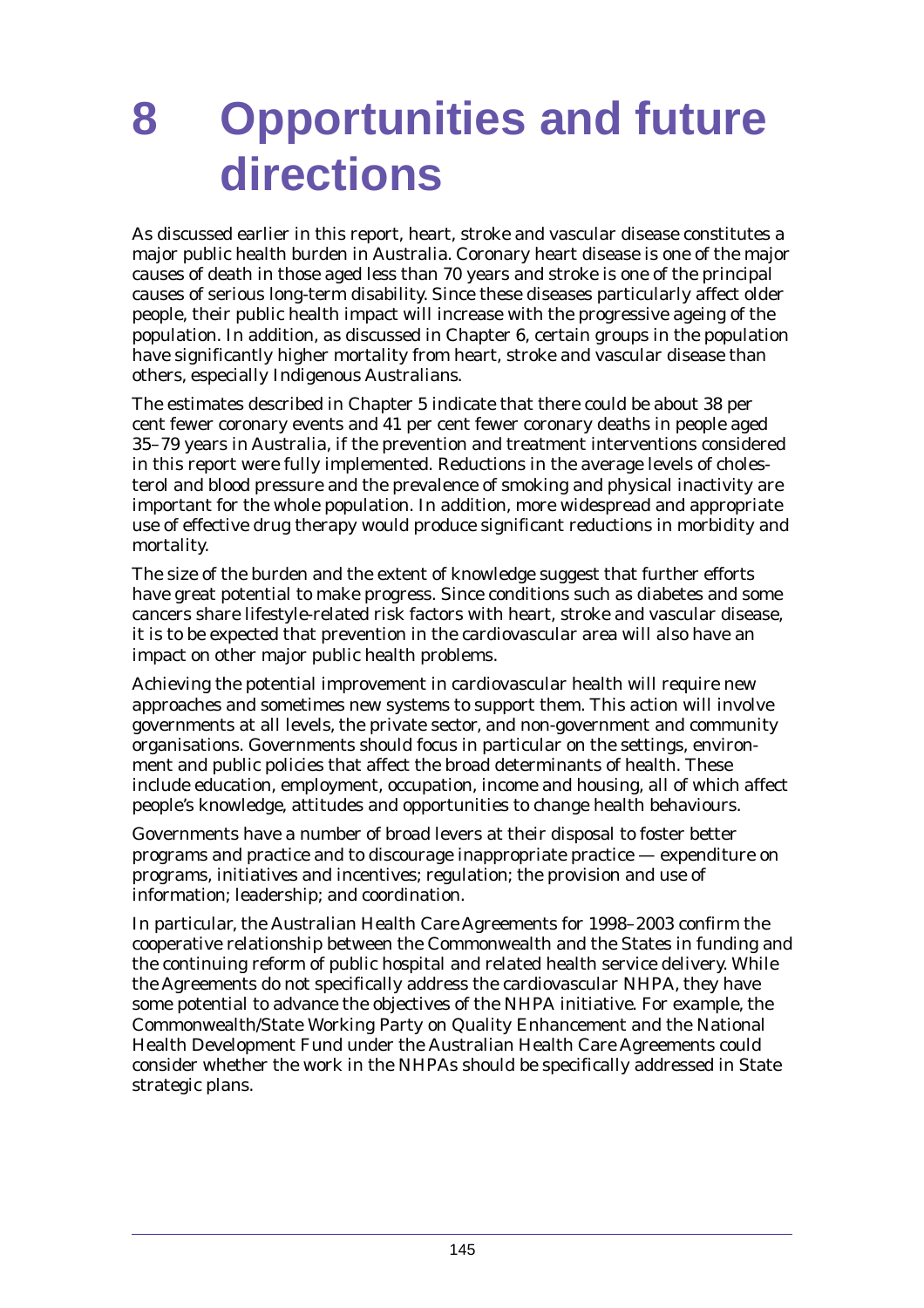# **8 Opportunities and future directions**

As discussed earlier in this report, heart, stroke and vascular disease constitutes a major public health burden in Australia. Coronary heart disease is one of the major causes of death in those aged less than 70 years and stroke is one of the principal causes of serious long-term disability. Since these diseases particularly affect older people, their public health impact will increase with the progressive ageing of the population. In addition, as discussed in Chapter 6, certain groups in the population have significantly higher mortality from heart, stroke and vascular disease than others, especially Indigenous Australians.

The estimates described in Chapter 5 indicate that there could be about 38 per cent fewer coronary events and 41 per cent fewer coronary deaths in people aged 35–79 years in Australia, if the prevention and treatment interventions considered in this report were fully implemented. Reductions in the average levels of cholesterol and blood pressure and the prevalence of smoking and physical inactivity are important for the whole population. In addition, more widespread and appropriate use of effective drug therapy would produce significant reductions in morbidity and mortality.

The size of the burden and the extent of knowledge suggest that further efforts have great potential to make progress. Since conditions such as diabetes and some cancers share lifestyle-related risk factors with heart, stroke and vascular disease, it is to be expected that prevention in the cardiovascular area will also have an impact on other major public health problems.

Achieving the potential improvement in cardiovascular health will require new approaches and sometimes new systems to support them. This action will involve governments at all levels, the private sector, and non-government and community organisations. Governments should focus in particular on the settings, environment and public policies that affect the broad determinants of health. These include education, employment, occupation, income and housing, all of which affect people's knowledge, attitudes and opportunities to change health behaviours.

Governments have a number of broad levers at their disposal to foster better programs and practice and to discourage inappropriate practice — expenditure on programs, initiatives and incentives; regulation; the provision and use of information; leadership; and coordination.

In particular, the Australian Health Care Agreements for 1998–2003 confirm the cooperative relationship between the Commonwealth and the States in funding and the continuing reform of public hospital and related health service delivery. While the Agreements do not specifically address the cardiovascular NHPA, they have some potential to advance the objectives of the NHPA initiative. For example, the Commonwealth/State Working Party on Quality Enhancement and the National Health Development Fund under the Australian Health Care Agreements could consider whether the work in the NHPAs should be specifically addressed in State strategic plans.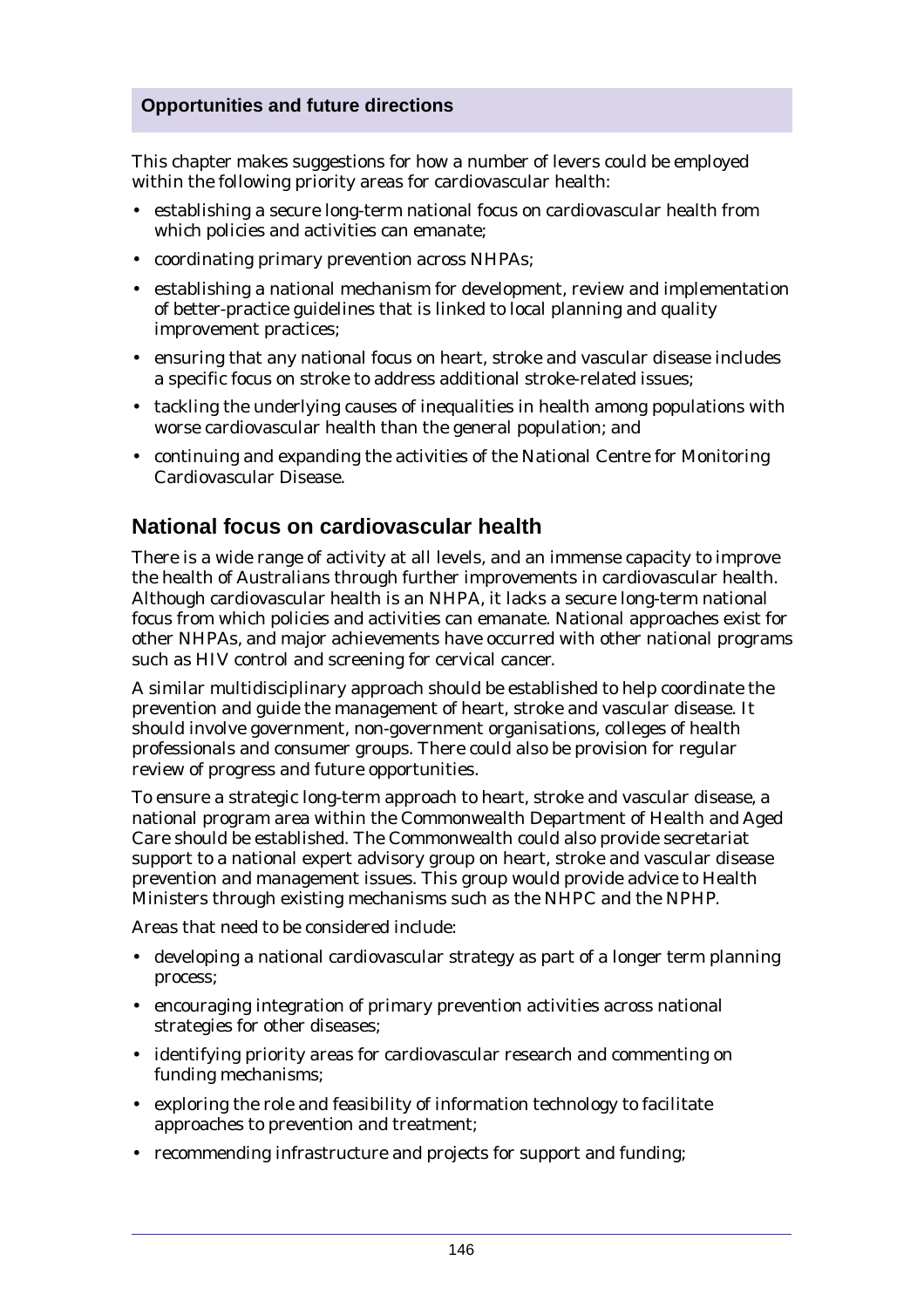## **Opportunities and future directions**

This chapter makes suggestions for how a number of levers could be employed within the following priority areas for cardiovascular health:

- establishing a secure long-term national focus on cardiovascular health from which policies and activities can emanate;
- coordinating primary prevention across NHPAs;
- establishing a national mechanism for development, review and implementation of better-practice guidelines that is linked to local planning and quality improvement practices;
- ensuring that any national focus on heart, stroke and vascular disease includes a specific focus on stroke to address additional stroke-related issues;
- tackling the underlying causes of inequalities in health among populations with worse cardiovascular health than the general population; and
- continuing and expanding the activities of the National Centre for Monitoring Cardiovascular Disease.

# **National focus on cardiovascular health**

There is a wide range of activity at all levels, and an immense capacity to improve the health of Australians through further improvements in cardiovascular health. Although cardiovascular health is an NHPA, it lacks a secure long-term national focus from which policies and activities can emanate. National approaches exist for other NHPAs, and major achievements have occurred with other national programs such as HIV control and screening for cervical cancer.

A similar multidisciplinary approach should be established to help coordinate the prevention and guide the management of heart, stroke and vascular disease. It should involve government, non-government organisations, colleges of health professionals and consumer groups. There could also be provision for regular review of progress and future opportunities.

To ensure a strategic long-term approach to heart, stroke and vascular disease, a national program area within the Commonwealth Department of Health and Aged Care should be established. The Commonwealth could also provide secretariat support to a national expert advisory group on heart, stroke and vascular disease prevention and management issues. This group would provide advice to Health Ministers through existing mechanisms such as the NHPC and the NPHP.

Areas that need to be considered include:

- developing a national cardiovascular strategy as part of a longer term planning process;
- encouraging integration of primary prevention activities across national strategies for other diseases;
- identifying priority areas for cardiovascular research and commenting on funding mechanisms;
- exploring the role and feasibility of information technology to facilitate approaches to prevention and treatment;
- recommending infrastructure and projects for support and funding;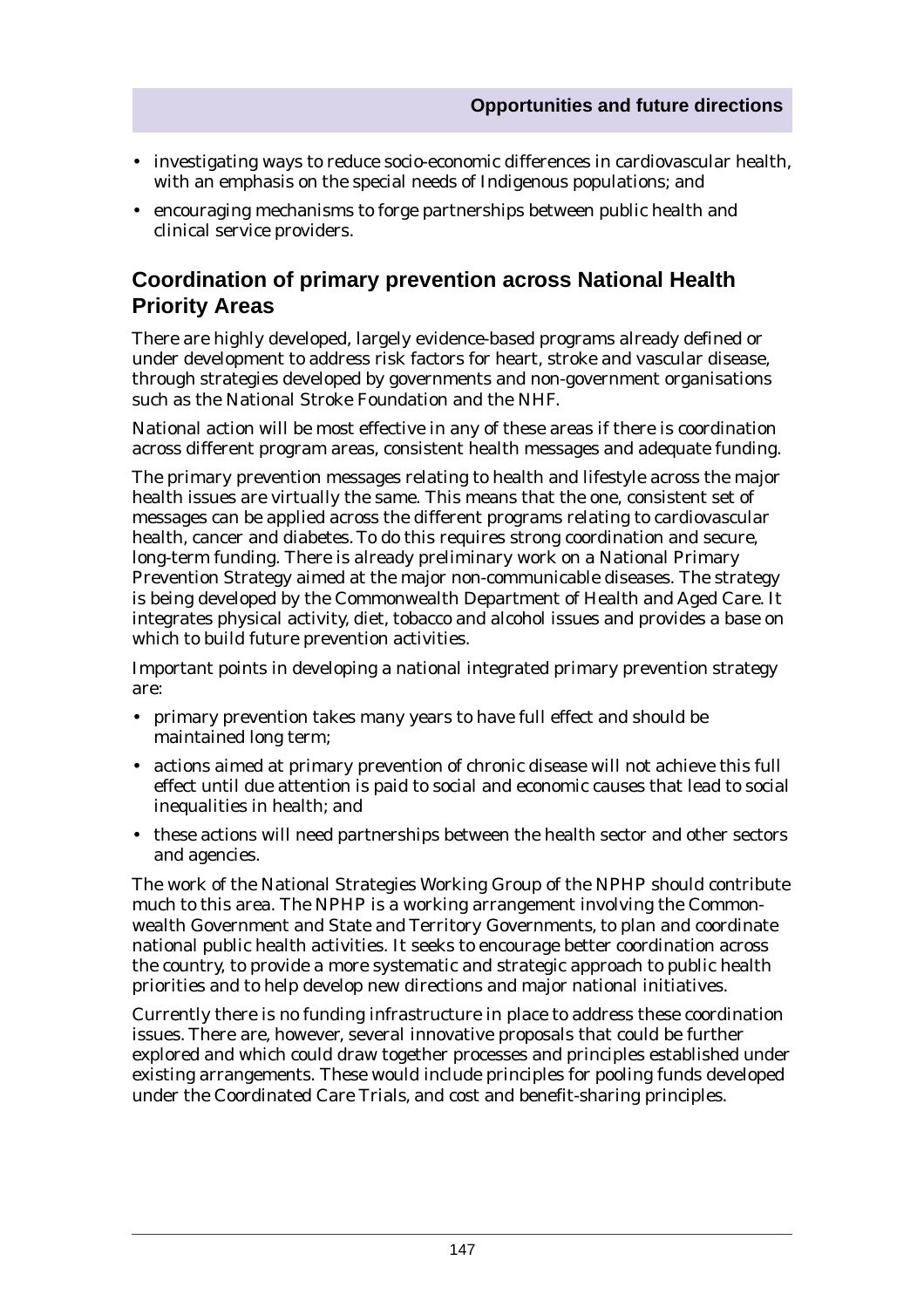- investigating ways to reduce socio-economic differences in cardiovascular health, with an emphasis on the special needs of Indigenous populations; and
- encouraging mechanisms to forge partnerships between public health and clinical service providers.

# **Coordination of primary prevention across National Health Priority Areas**

There are highly developed, largely evidence-based programs already defined or under development to address risk factors for heart, stroke and vascular disease, through strategies developed by governments and non-government organisations such as the National Stroke Foundation and the NHF.

National action will be most effective in any of these areas if there is coordination across different program areas, consistent health messages and adequate funding.

The primary prevention messages relating to health and lifestyle across the major health issues are virtually the same. This means that the one, consistent set of messages can be applied across the different programs relating to cardiovascular health, cancer and diabetes. To do this requires strong coordination and secure, long-term funding. There is already preliminary work on a National Primary Prevention Strategy aimed at the major non-communicable diseases. The strategy is being developed by the Commonwealth Department of Health and Aged Care. It integrates physical activity, diet, tobacco and alcohol issues and provides a base on which to build future prevention activities.

Important points in developing a national integrated primary prevention strategy are:

- primary prevention takes many years to have full effect and should be maintained long term;
- actions aimed at primary prevention of chronic disease will not achieve this full effect until due attention is paid to social and economic causes that lead to social inequalities in health; and
- these actions will need partnerships between the health sector and other sectors and agencies.

The work of the National Strategies Working Group of the NPHP should contribute much to this area. The NPHP is a working arrangement involving the Commonwealth Government and State and Territory Governments, to plan and coordinate national public health activities. It seeks to encourage better coordination across the country, to provide a more systematic and strategic approach to public health priorities and to help develop new directions and major national initiatives.

Currently there is no funding infrastructure in place to address these coordination issues. There are, however, several innovative proposals that could be further explored and which could draw together processes and principles established under existing arrangements. These would include principles for pooling funds developed under the Coordinated Care Trials, and cost and benefit-sharing principles.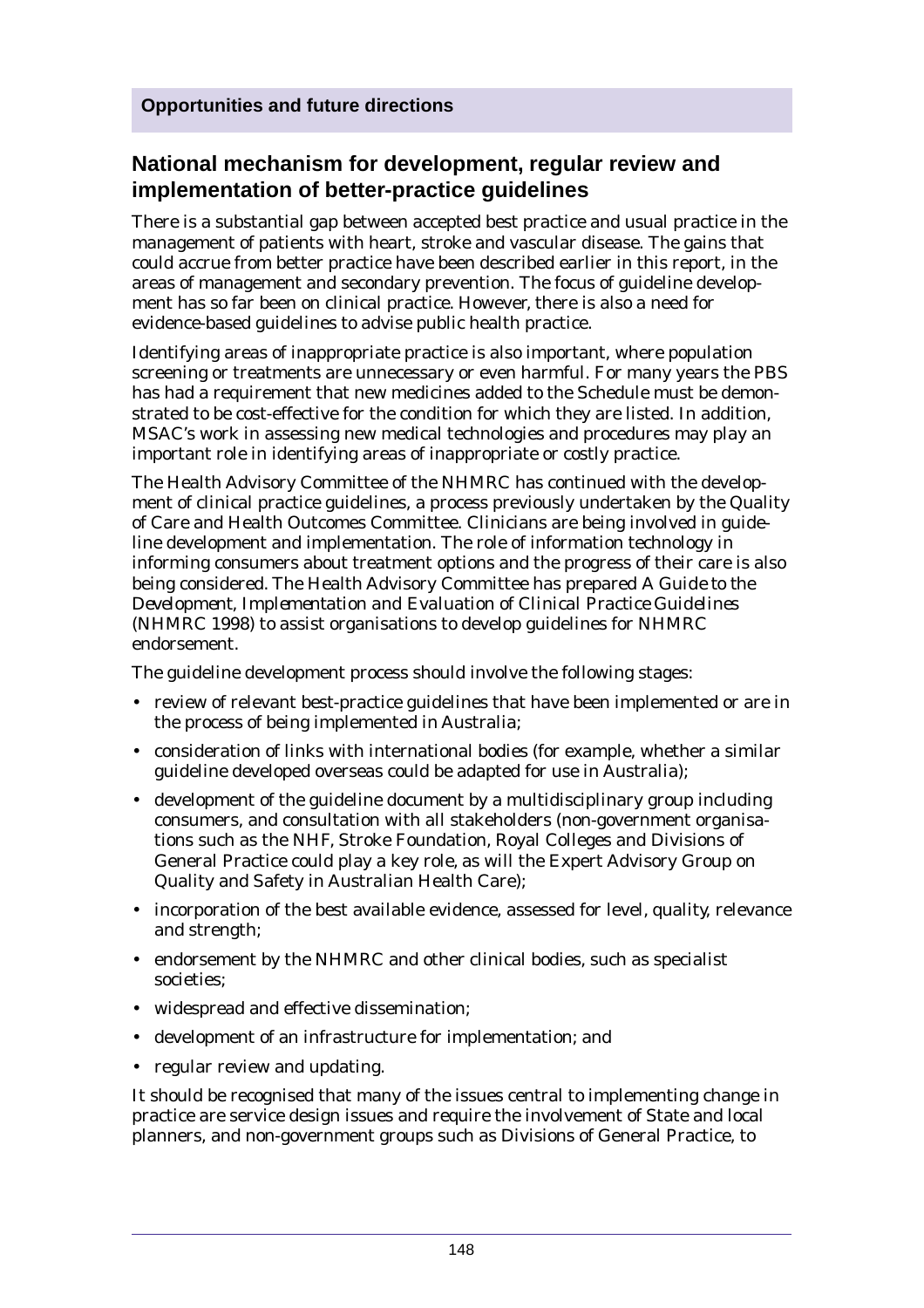# **National mechanism for development, regular review and implementation of better-practice guidelines**

There is a substantial gap between accepted best practice and usual practice in the management of patients with heart, stroke and vascular disease. The gains that could accrue from better practice have been described earlier in this report, in the areas of management and secondary prevention. The focus of guideline development has so far been on clinical practice. However, there is also a need for evidence-based guidelines to advise public health practice.

Identifying areas of inappropriate practice is also important, where population screening or treatments are unnecessary or even harmful. For many years the PBS has had a requirement that new medicines added to the Schedule must be demonstrated to be cost-effective for the condition for which they are listed. In addition, MSAC's work in assessing new medical technologies and procedures may play an important role in identifying areas of inappropriate or costly practice.

The Health Advisory Committee of the NHMRC has continued with the development of clinical practice guidelines, a process previously undertaken by the Quality of Care and Health Outcomes Committee. Clinicians are being involved in guideline development and implementation. The role of information technology in informing consumers about treatment options and the progress of their care is also being considered. The Health Advisory Committee has prepared *A Guide to the Development, Implementation and Evaluation of Clinical Practice Guidelines* (NHMRC 1998) to assist organisations to develop guidelines for NHMRC endorsement.

The guideline development process should involve the following stages:

- review of relevant best-practice guidelines that have been implemented or are in the process of being implemented in Australia;
- consideration of links with international bodies (for example, whether a similar guideline developed overseas could be adapted for use in Australia);
- development of the guideline document by a multidisciplinary group including consumers, and consultation with all stakeholders (non-government organisations such as the NHF, Stroke Foundation, Royal Colleges and Divisions of General Practice could play a key role, as will the Expert Advisory Group on Quality and Safety in Australian Health Care);
- incorporation of the best available evidence, assessed for level, quality, relevance and strength;
- endorsement by the NHMRC and other clinical bodies, such as specialist societies;
- widespread and effective dissemination;
- development of an infrastructure for implementation; and
- regular review and updating.

It should be recognised that many of the issues central to implementing change in practice are service design issues and require the involvement of State and local planners, and non-government groups such as Divisions of General Practice, to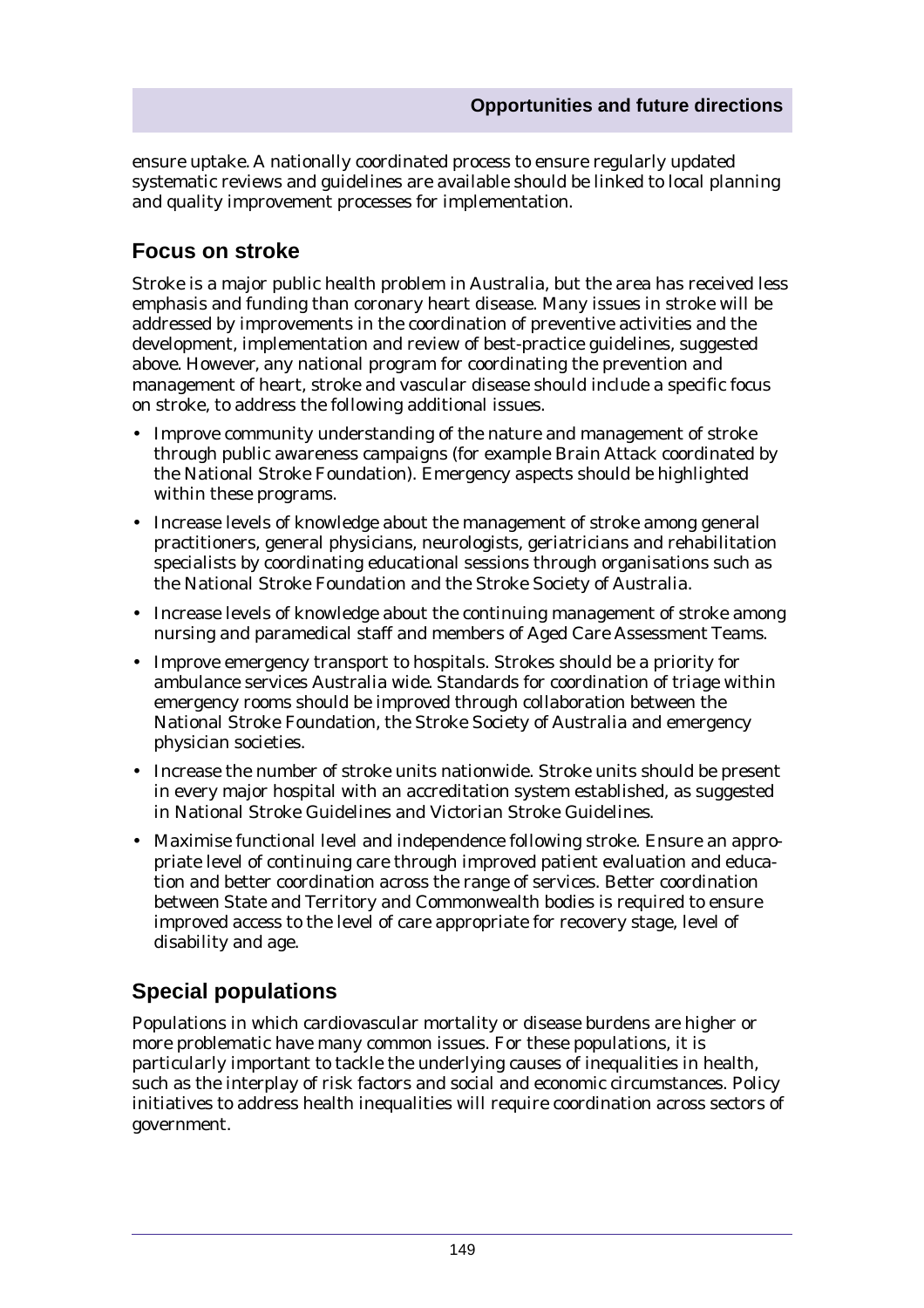ensure uptake. A nationally coordinated process to ensure regularly updated systematic reviews and guidelines are available should be linked to local planning and quality improvement processes for implementation.

# **Focus on stroke**

Stroke is a major public health problem in Australia, but the area has received less emphasis and funding than coronary heart disease. Many issues in stroke will be addressed by improvements in the coordination of preventive activities and the development, implementation and review of best-practice guidelines, suggested above. However, any national program for coordinating the prevention and management of heart, stroke and vascular disease should include a specific focus on stroke, to address the following additional issues.

- Improve community understanding of the nature and management of stroke through public awareness campaigns (for example Brain Attack coordinated by the National Stroke Foundation). Emergency aspects should be highlighted within these programs.
- Increase levels of knowledge about the management of stroke among general practitioners, general physicians, neurologists, geriatricians and rehabilitation specialists by coordinating educational sessions through organisations such as the National Stroke Foundation and the Stroke Society of Australia.
- Increase levels of knowledge about the continuing management of stroke among nursing and paramedical staff and members of Aged Care Assessment Teams.
- Improve emergency transport to hospitals. Strokes should be a priority for ambulance services Australia wide. Standards for coordination of triage within emergency rooms should be improved through collaboration between the National Stroke Foundation, the Stroke Society of Australia and emergency physician societies.
- Increase the number of stroke units nationwide. Stroke units should be present in every major hospital with an accreditation system established, as suggested in National Stroke Guidelines and Victorian Stroke Guidelines.
- Maximise functional level and independence following stroke. Ensure an appropriate level of continuing care through improved patient evaluation and education and better coordination across the range of services. Better coordination between State and Territory and Commonwealth bodies is required to ensure improved access to the level of care appropriate for recovery stage, level of disability and age.

# **Special populations**

Populations in which cardiovascular mortality or disease burdens are higher or more problematic have many common issues. For these populations, it is particularly important to tackle the underlying causes of inequalities in health, such as the interplay of risk factors and social and economic circumstances. Policy initiatives to address health inequalities will require coordination across sectors of government.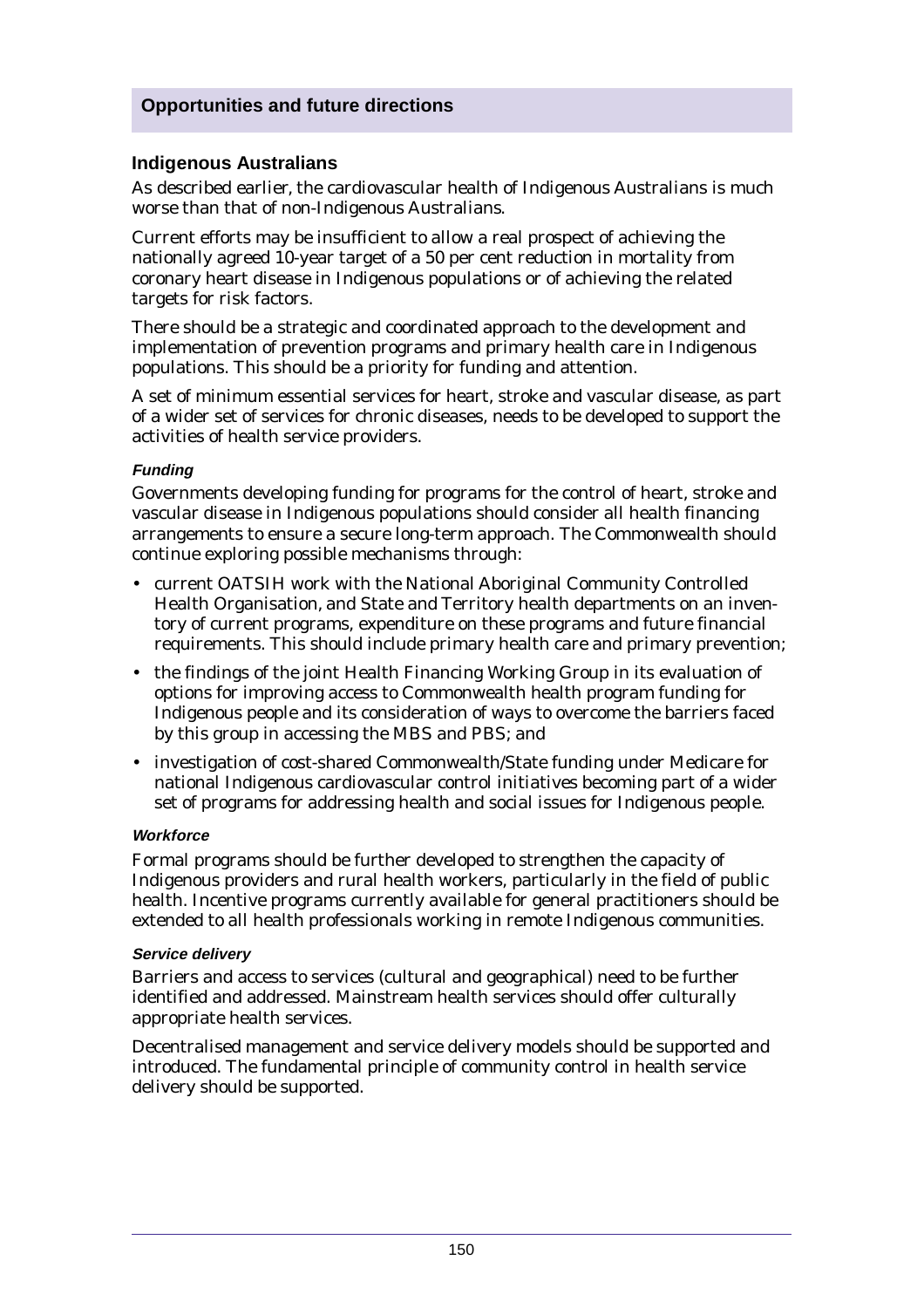## **Opportunities and future directions**

## **Indigenous Australians**

As described earlier, the cardiovascular health of Indigenous Australians is much worse than that of non-Indigenous Australians.

Current efforts may be insufficient to allow a real prospect of achieving the nationally agreed 10-year target of a 50 per cent reduction in mortality from coronary heart disease in Indigenous populations or of achieving the related targets for risk factors.

There should be a strategic and coordinated approach to the development and implementation of prevention programs and primary health care in Indigenous populations. This should be a priority for funding and attention.

A set of minimum essential services for heart, stroke and vascular disease, as part of a wider set of services for chronic diseases, needs to be developed to support the activities of health service providers.

#### **Funding**

Governments developing funding for programs for the control of heart, stroke and vascular disease in Indigenous populations should consider all health financing arrangements to ensure a secure long-term approach. The Commonwealth should continue exploring possible mechanisms through:

- current OATSIH work with the National Aboriginal Community Controlled Health Organisation, and State and Territory health departments on an inventory of current programs, expenditure on these programs and future financial requirements. This should include primary health care and primary prevention;
- the findings of the joint Health Financing Working Group in its evaluation of options for improving access to Commonwealth health program funding for Indigenous people and its consideration of ways to overcome the barriers faced by this group in accessing the MBS and PBS; and
- investigation of cost-shared Commonwealth/State funding under Medicare for national Indigenous cardiovascular control initiatives becoming part of a wider set of programs for addressing health and social issues for Indigenous people.

#### **Workforce**

Formal programs should be further developed to strengthen the capacity of Indigenous providers and rural health workers, particularly in the field of public health. Incentive programs currently available for general practitioners should be extended to all health professionals working in remote Indigenous communities.

#### **Service delivery**

Barriers and access to services (cultural and geographical) need to be further identified and addressed. Mainstream health services should offer culturally appropriate health services.

Decentralised management and service delivery models should be supported and introduced. The fundamental principle of community control in health service delivery should be supported.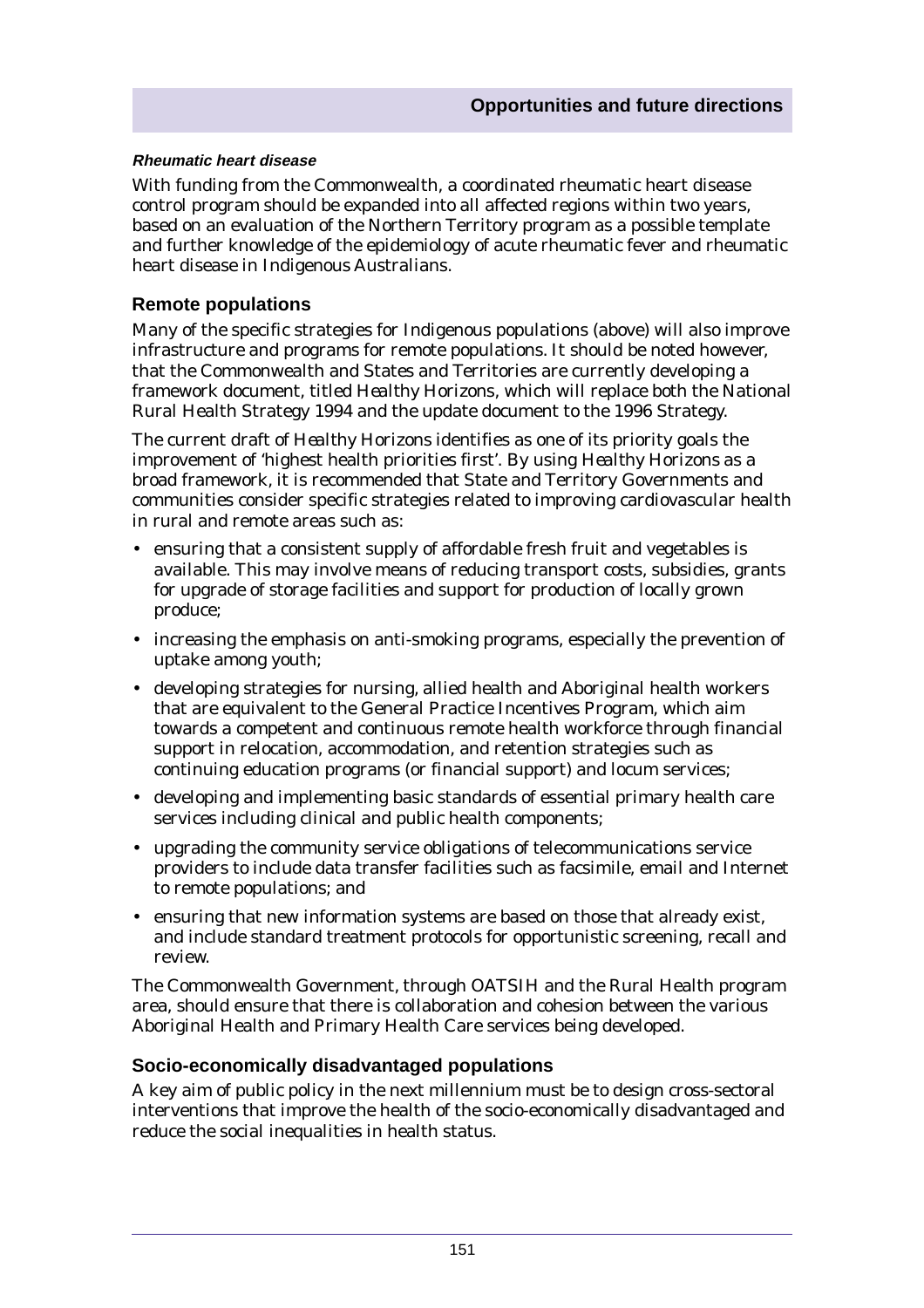#### **Rheumatic heart disease**

With funding from the Commonwealth, a coordinated rheumatic heart disease control program should be expanded into all affected regions within two years, based on an evaluation of the Northern Territory program as a possible template and further knowledge of the epidemiology of acute rheumatic fever and rheumatic heart disease in Indigenous Australians.

## **Remote populations**

Many of the specific strategies for Indigenous populations (above) will also improve infrastructure and programs for remote populations. It should be noted however, that the Commonwealth and States and Territories are currently developing a framework document, titled *Healthy Horizons*, which will replace both the National Rural Health Strategy 1994 and the update document to the 1996 Strategy.

The current draft of *Healthy Horizons* identifies as one of its priority goals the improvement of 'highest health priorities first'. By using *Healthy Horizons* as a broad framework, it is recommended that State and Territory Governments and communities consider specific strategies related to improving cardiovascular health in rural and remote areas such as:

- ensuring that a consistent supply of affordable fresh fruit and vegetables is available. This may involve means of reducing transport costs, subsidies, grants for upgrade of storage facilities and support for production of locally grown produce;
- increasing the emphasis on anti-smoking programs, especially the prevention of uptake among youth;
- developing strategies for nursing, allied health and Aboriginal health workers that are equivalent to the General Practice Incentives Program, which aim towards a competent and continuous remote health workforce through financial support in relocation, accommodation, and retention strategies such as continuing education programs (or financial support) and locum services;
- developing and implementing basic standards of essential primary health care services including clinical and public health components;
- upgrading the community service obligations of telecommunications service providers to include data transfer facilities such as facsimile, email and Internet to remote populations; and
- ensuring that new information systems are based on those that already exist, and include standard treatment protocols for opportunistic screening, recall and review.

The Commonwealth Government, through OATSIH and the Rural Health program area, should ensure that there is collaboration and cohesion between the various Aboriginal Health and Primary Health Care services being developed.

## **Socio-economically disadvantaged populations**

A key aim of public policy in the next millennium must be to design cross-sectoral interventions that improve the health of the socio-economically disadvantaged and reduce the social inequalities in health status.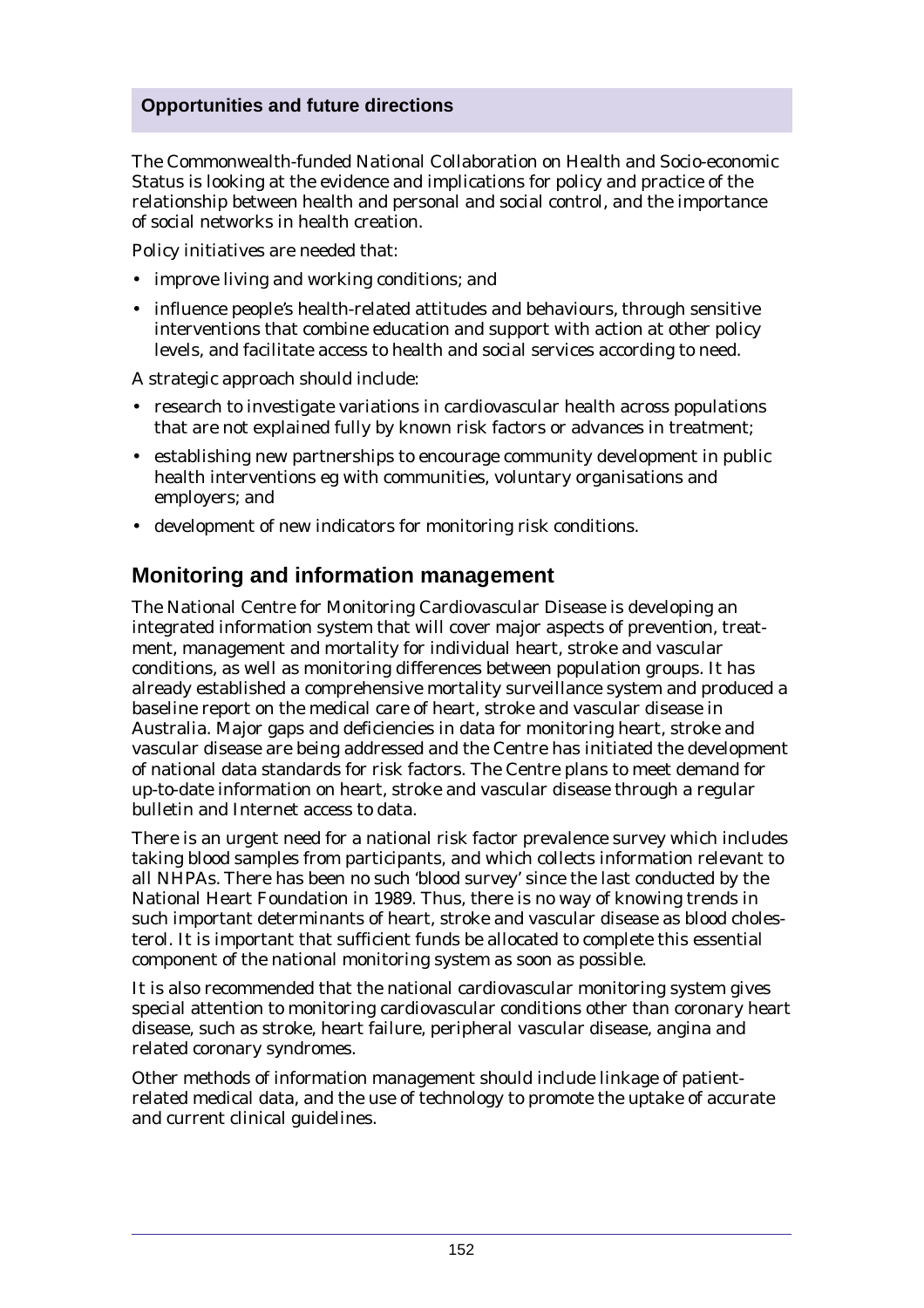## **Opportunities and future directions**

The Commonwealth-funded National Collaboration on Health and Socio-economic Status is looking at the evidence and implications for policy and practice of the relationship between health and personal and social control, and the importance of social networks in health creation.

Policy initiatives are needed that:

- improve living and working conditions; and
- influence people's health-related attitudes and behaviours, through sensitive interventions that combine education and support with action at other policy levels, and facilitate access to health and social services according to need.

A strategic approach should include:

- research to investigate variations in cardiovascular health across populations that are not explained fully by known risk factors or advances in treatment;
- establishing new partnerships to encourage community development in public health interventions eg with communities, voluntary organisations and employers; and
- development of new indicators for monitoring risk conditions.

# **Monitoring and information management**

The National Centre for Monitoring Cardiovascular Disease is developing an integrated information system that will cover major aspects of prevention, treatment, management and mortality for individual heart, stroke and vascular conditions, as well as monitoring differences between population groups. It has already established a comprehensive mortality surveillance system and produced a baseline report on the medical care of heart, stroke and vascular disease in Australia. Major gaps and deficiencies in data for monitoring heart, stroke and vascular disease are being addressed and the Centre has initiated the development of national data standards for risk factors. The Centre plans to meet demand for up-to-date information on heart, stroke and vascular disease through a regular bulletin and Internet access to data.

There is an urgent need for a national risk factor prevalence survey which includes taking blood samples from participants, and which collects information relevant to all NHPAs. There has been no such 'blood survey' since the last conducted by the National Heart Foundation in 1989. Thus, there is no way of knowing trends in such important determinants of heart, stroke and vascular disease as blood cholesterol. It is important that sufficient funds be allocated to complete this essential component of the national monitoring system as soon as possible.

It is also recommended that the national cardiovascular monitoring system gives special attention to monitoring cardiovascular conditions other than coronary heart disease, such as stroke, heart failure, peripheral vascular disease, angina and related coronary syndromes.

Other methods of information management should include linkage of patientrelated medical data, and the use of technology to promote the uptake of accurate and current clinical guidelines.